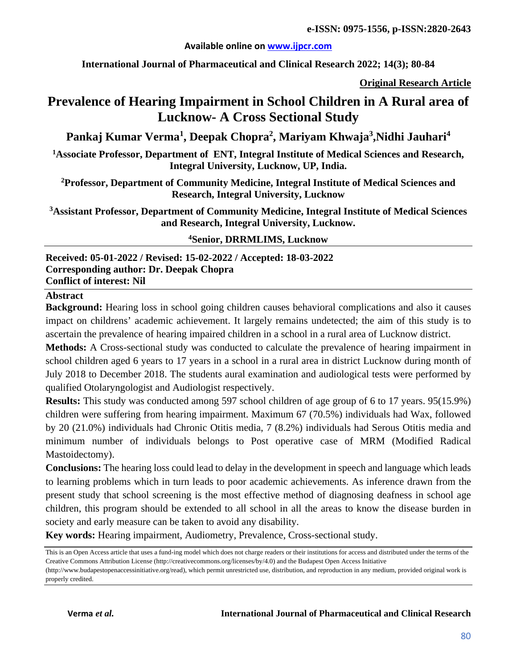#### **Available online on [www.ijpcr.com](http://www.ijpcr.com/)**

**International Journal of Pharmaceutical and Clinical Research 2022; 14(3); 80-84**

**Original Research Article**

# **Prevalence of Hearing Impairment in School Children in A Rural area of Lucknow- A Cross Sectional Study**

**Pankaj Kumar Verma<sup>1</sup> , Deepak Chopra<sup>2</sup> , Mariyam Khwaja<sup>3</sup> ,Nidhi Jauhari<sup>4</sup>**

**1Associate Professor, Department of ENT, Integral Institute of Medical Sciences and Research, Integral University, Lucknow, UP, India.**

**2Professor, Department of Community Medicine, Integral Institute of Medical Sciences and Research, Integral University, Lucknow**

**3Assistant Professor, Department of Community Medicine, Integral Institute of Medical Sciences and Research, Integral University, Lucknow.**

**4 Senior, DRRMLIMS, Lucknow**

**Received: 05-01-2022 / Revised: 15-02-2022 / Accepted: 18-03-2022 Corresponding author: Dr. Deepak Chopra Conflict of interest: Nil**

#### **Abstract**

**Background:** Hearing loss in school going children causes behavioral complications and also it causes impact on childrens' academic achievement. It largely remains undetected; the aim of this study is to ascertain the prevalence of hearing impaired children in a school in a rural area of Lucknow district.

**Methods:** A Cross-sectional study was conducted to calculate the prevalence of hearing impairment in school children aged 6 years to 17 years in a school in a rural area in district Lucknow during month of July 2018 to December 2018. The students aural examination and audiological tests were performed by qualified Otolaryngologist and Audiologist respectively.

**Results:** This study was conducted among 597 school children of age group of 6 to 17 years. 95(15.9%) children were suffering from hearing impairment. Maximum 67 (70.5%) individuals had Wax, followed by 20 (21.0%) individuals had Chronic Otitis media, 7 (8.2%) individuals had Serous Otitis media and minimum number of individuals belongs to Post operative case of MRM (Modified Radical Mastoidectomy).

**Conclusions:** The hearing loss could lead to delay in the development in speech and language which leads to learning problems which in turn leads to poor academic achievements. As inference drawn from the present study that school screening is the most effective method of diagnosing deafness in school age children, this program should be extended to all school in all the areas to know the disease burden in society and early measure can be taken to avoid any disability.

**Key words:** Hearing impairment, Audiometry, Prevalence, Cross-sectional study.

This is an Open Access article that uses a fund-ing model which does not charge readers or their institutions for access and distributed under the terms of the Creative Commons Attribution License (http://creativecommons.org/licenses/by/4.0) and the Budapest Open Access Initiative

<sup>(</sup>http://www.budapestopenaccessinitiative.org/read), which permit unrestricted use, distribution, and reproduction in any medium, provided original work is properly credited.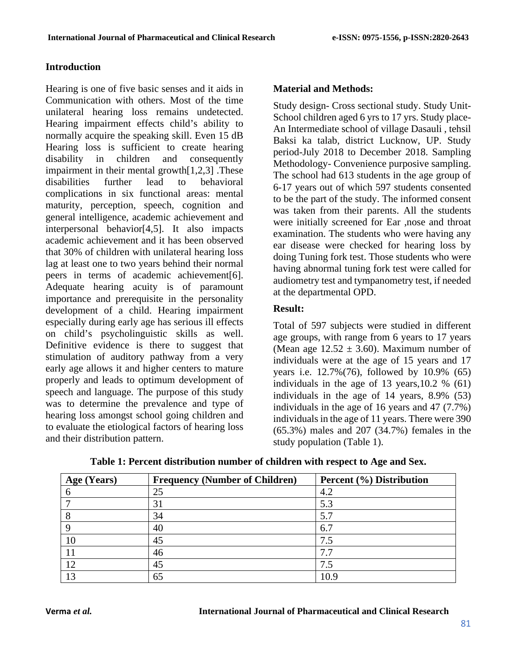#### **Introduction**

Hearing is one of five basic senses and it aids in Communication with others. Most of the time unilateral hearing loss remains undetected. Hearing impairment effects child's ability to normally acquire the speaking skill. Even 15 dB Hearing loss is sufficient to create hearing disability in children and consequently impairment in their mental growth[1,2,3] .These disabilities further lead to behavioral complications in six functional areas: mental maturity, perception, speech, cognition and general intelligence, academic achievement and interpersonal behavior[4,5]. It also impacts academic achievement and it has been observed that 30% of children with unilateral hearing loss lag at least one to two years behind their normal peers in terms of academic achievement[6]. Adequate hearing acuity is of paramount importance and prerequisite in the personality development of a child. Hearing impairment especially during early age has serious ill effects on child's psycholinguistic skills as well. Definitive evidence is there to suggest that stimulation of auditory pathway from a very early age allows it and higher centers to mature properly and leads to optimum development of speech and language. The purpose of this study was to determine the prevalence and type of hearing loss amongst school going children and to evaluate the etiological factors of hearing loss and their distribution pattern.

### **Material and Methods:**

Study design- Cross sectional study. Study Unit-School children aged 6 yrs to 17 yrs. Study place-An Intermediate school of village Dasauli , tehsil Baksi ka talab, district Lucknow, UP. Study period-July 2018 to December 2018. Sampling Methodology- Convenience purposive sampling. The school had 613 students in the age group of 6-17 years out of which 597 students consented to be the part of the study. The informed consent was taken from their parents. All the students were initially screened for Ear ,nose and throat examination. The students who were having any ear disease were checked for hearing loss by doing Tuning fork test. Those students who were having abnormal tuning fork test were called for audiometry test and tympanometry test, if needed at the departmental OPD.

# **Result:**

Total of 597 subjects were studied in different age groups, with range from 6 years to 17 years (Mean age  $12.52 \pm 3.60$ ). Maximum number of individuals were at the age of 15 years and 17 years i.e. 12.7%(76), followed by 10.9% (65) individuals in the age of 13 years,10.2 % (61) individuals in the age of 14 years, 8.9% (53) individuals in the age of 16 years and 47 (7.7%) individuals in the age of 11 years. There were 390 (65.3%) males and 207 (34.7%) females in the study population (Table 1).

| Age (Years) | <b>Frequency (Number of Children)</b> | Percent (%) Distribution |
|-------------|---------------------------------------|--------------------------|
| n           | 25                                    | 4.2                      |
|             | 31                                    | 5.3                      |
|             | 34                                    | 5.7                      |
|             | 40                                    | 6.7                      |
| 10          | 45                                    | 7.5                      |
|             | 46                                    | 7.7                      |
| 12          | 45                                    | 7.5                      |
| 13          | 65                                    | 10.9                     |

**Table 1: Percent distribution number of children with respect to Age and Sex.**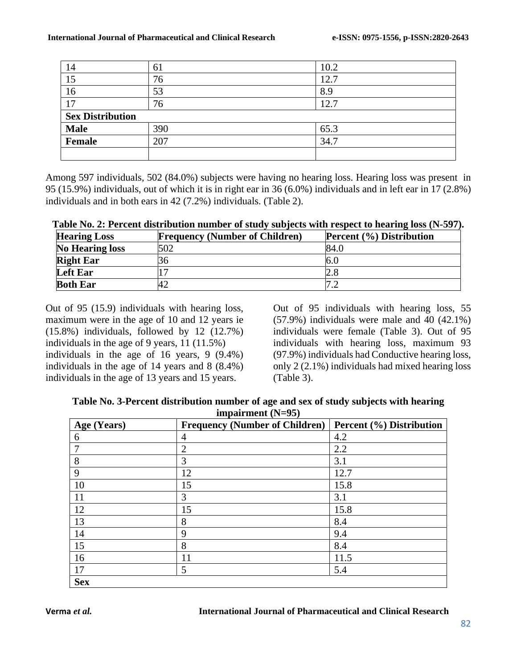| 14                      | 61  | 10.2                 |
|-------------------------|-----|----------------------|
| 15                      | 76  | $\mathcal{D}$<br>12. |
| 16                      | 53  | 8.9                  |
| 17                      | 76  | ⌒                    |
| <b>Sex Distribution</b> |     |                      |
| <b>Male</b>             | 390 | 65.3                 |
| <b>Female</b>           | 207 | 34.7                 |
|                         |     |                      |

Among 597 individuals, 502 (84.0%) subjects were having no hearing loss. Hearing loss was present in 95 (15.9%) individuals, out of which it is in right ear in 36 (6.0%) individuals and in left ear in 17 (2.8%) individuals and in both ears in 42 (7.2%) individuals. (Table 2).

| <b>Hearing Loss</b>    | <b>Frequency (Number of Children)</b> | <b>Percent (%) Distribution</b> |
|------------------------|---------------------------------------|---------------------------------|
| <b>No Hearing loss</b> | 502                                   | 84.G                            |
| <b>Right Ear</b>       | ١h                                    |                                 |
| <b>Left Ear</b>        |                                       |                                 |
| <b>Both Ear</b>        |                                       |                                 |

Out of 95 (15.9) individuals with hearing loss, maximum were in the age of 10 and 12 years ie (15.8%) individuals, followed by 12 (12.7%) individuals in the age of 9 years, 11 (11.5%) individuals in the age of 16 years, 9 (9.4%) individuals in the age of 14 years and 8 (8.4%) individuals in the age of 13 years and 15 years.

Out of 95 individuals with hearing loss, 55 (57.9%) individuals were male and 40 (42.1%) individuals were female (Table 3). Out of 95 individuals with hearing loss, maximum 93 (97.9%) individuals had Conductive hearing loss, only 2 (2.1%) individuals had mixed hearing loss (Table 3).

| Table No. 3-Percent distribution number of age and sex of study subjects with hearing |  |  |
|---------------------------------------------------------------------------------------|--|--|
| impairment $(N=95)$                                                                   |  |  |

| Age (Years) | <b>Frequency (Number of Children)</b> | Percent (%) Distribution |
|-------------|---------------------------------------|--------------------------|
| 6           | 4                                     | 4.2                      |
| 7           | $\overline{2}$                        | 2.2                      |
| 8           | 3                                     | 3.1                      |
| 9           | 12                                    | 12.7                     |
| 10          | 15                                    | 15.8                     |
| 11          | 3                                     | 3.1                      |
| 12          | 15                                    | 15.8                     |
| 13          | 8                                     | 8.4                      |
| 14          | 9                                     | 9.4                      |
| 15          | 8                                     | 8.4                      |
| 16          | 11                                    | 11.5                     |
| 17          | 5                                     | 5.4                      |
| <b>Sex</b>  |                                       |                          |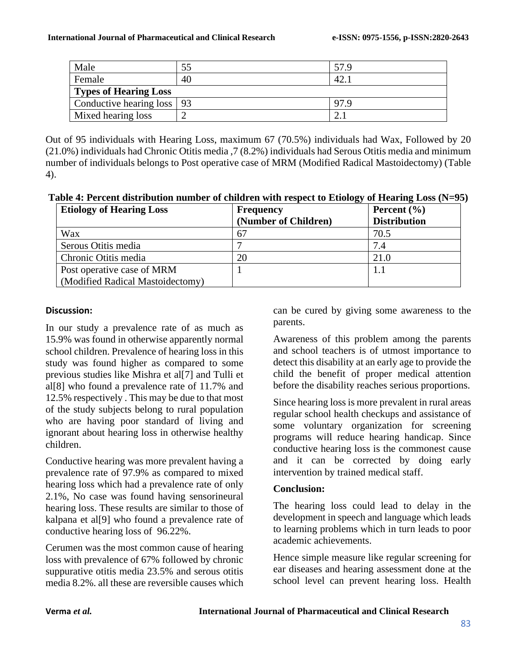| Male                         |    | 57.9 |
|------------------------------|----|------|
| Female                       | 40 | 42.  |
| <b>Types of Hearing Loss</b> |    |      |
| Conductive hearing loss   93 |    |      |
| Mixed hearing loss           |    |      |

Out of 95 individuals with Hearing Loss, maximum 67 (70.5%) individuals had Wax, Followed by 20 (21.0%) individuals had Chronic Otitis media ,7 (8.2%) individuals had Serous Otitis media and minimum number of individuals belongs to Post operative case of MRM (Modified Radical Mastoidectomy) (Table 4).

**Table 4: Percent distribution number of children with respect to Etiology of Hearing Loss (N=95)**

| <b>Etiology of Hearing Loss</b>  | <b>Frequency</b>     | Percent $(\% )$     |
|----------------------------------|----------------------|---------------------|
|                                  | (Number of Children) | <b>Distribution</b> |
| Wax                              | 67                   | 70.5                |
| Serous Otitis media              |                      | 7.4                 |
| Chronic Otitis media             | 20                   | 21.0                |
| Post operative case of MRM       |                      |                     |
| (Modified Radical Mastoidectomy) |                      |                     |

#### **Discussion:**

In our study a prevalence rate of as much as 15.9% was found in otherwise apparently normal school children. Prevalence of hearing loss in this study was found higher as compared to some previous studies like Mishra et al[7] and Tulli et al[8] who found a prevalence rate of 11.7% and 12.5% respectively . This may be due to that most of the study subjects belong to rural population who are having poor standard of living and ignorant about hearing loss in otherwise healthy children.

Conductive hearing was more prevalent having a prevalence rate of 97.9% as compared to mixed hearing loss which had a prevalence rate of only 2.1%, No case was found having sensorineural hearing loss. These results are similar to those of kalpana et al[9] who found a prevalence rate of conductive hearing loss of 96.22%.

Cerumen was the most common cause of hearing loss with prevalence of 67% followed by chronic suppurative otitis media 23.5% and serous otitis media 8.2%. all these are reversible causes which can be cured by giving some awareness to the parents.

Awareness of this problem among the parents and school teachers is of utmost importance to detect this disability at an early age to provide the child the benefit of proper medical attention before the disability reaches serious proportions.

Since hearing loss is more prevalent in rural areas regular school health checkups and assistance of some voluntary organization for screening programs will reduce hearing handicap. Since conductive hearing loss is the commonest cause and it can be corrected by doing early intervention by trained medical staff.

# **Conclusion:**

The hearing loss could lead to delay in the development in speech and language which leads to learning problems which in turn leads to poor academic achievements.

Hence simple measure like regular screening for ear diseases and hearing assessment done at the school level can prevent hearing loss. Health